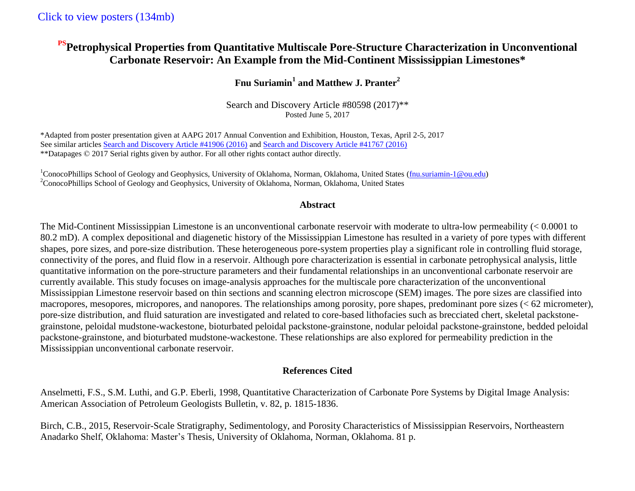# **PSPetrophysical Properties from Quantitative Multiscale Pore-Structure Characterization in Unconventional Carbonate Reservoir: An Example from the Mid-Continent Mississippian Limestones\***

## **Fnu Suriamin<sup>1</sup> and Matthew J. Pranter<sup>2</sup>**

Search and Discovery Article #80598 (2017)\*\* Posted June 5, 2017

\*Adapted from poster presentation given at AAPG 2017 Annual Convention and Exhibition, Houston, Texas, April 2-5, 2017 See similar articles [Search and Discovery Article #41906 \(2016\)](http://www.searchanddiscovery.com/documents/2016/41906suriamin/ndx_suriamin.pdf) and [Search and Discovery Article #41767 \(2016\)](http://www.searchanddiscovery.com/documents/2016/41767suriamin/ndx_suriamin.pdf) \*\*Datapages © 2017 Serial rights given by author. For all other rights contact author directly.

<sup>1</sup>ConocoPhillips School of Geology and Geophysics, University of Oklahoma, Norman, Oklahoma, United States (fnu.suriamin-1@ou.edu) <sup>2</sup>ConocoPhillips School of Geology and Geophysics, University of Oklahoma, Norman, Oklahoma, United States

#### **Abstract**

The Mid-Continent Mississippian Limestone is an unconventional carbonate reservoir with moderate to ultra-low permeability (< 0.0001 to 80.2 mD). A complex depositional and diagenetic history of the Mississippian Limestone has resulted in a variety of pore types with different shapes, pore sizes, and pore-size distribution. These heterogeneous pore-system properties play a significant role in controlling fluid storage, connectivity of the pores, and fluid flow in a reservoir. Although pore characterization is essential in carbonate petrophysical analysis, little quantitative information on the pore-structure parameters and their fundamental relationships in an unconventional carbonate reservoir are currently available. This study focuses on image-analysis approaches for the multiscale pore characterization of the unconventional Mississippian Limestone reservoir based on thin sections and scanning electron microscope (SEM) images. The pore sizes are classified into macropores, mesopores, micropores, and nanopores. The relationships among porosity, pore shapes, predominant pore sizes (< 62 micrometer), pore-size distribution, and fluid saturation are investigated and related to core-based lithofacies such as brecciated chert, skeletal packstonegrainstone, peloidal mudstone-wackestone, bioturbated peloidal packstone-grainstone, nodular peloidal packstone-grainstone, bedded peloidal packstone-grainstone, and bioturbated mudstone-wackestone. These relationships are also explored for permeability prediction in the Mississippian unconventional carbonate reservoir.

## **References Cited**

Anselmetti, F.S., S.M. Luthi, and G.P. Eberli, 1998, Quantitative Characterization of Carbonate Pore Systems by Digital Image Analysis: American Association of Petroleum Geologists Bulletin, v. 82, p. 1815-1836.

Birch, C.B., 2015, Reservoir-Scale Stratigraphy, Sedimentology, and Porosity Characteristics of Mississippian Reservoirs, Northeastern Anadarko Shelf, Oklahoma: Master's Thesis, University of Oklahoma, Norman, Oklahoma. 81 p.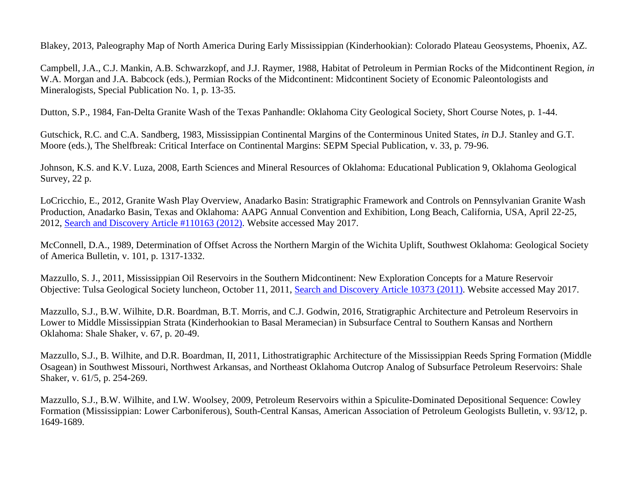Blakey, 2013, Paleography Map of North America During Early Mississippian (Kinderhookian): Colorado Plateau Geosystems, Phoenix, AZ.

Campbell, J.A., C.J. Mankin, A.B. Schwarzkopf, and J.J. Raymer, 1988, Habitat of Petroleum in Permian Rocks of the Midcontinent Region, *in* W.A. Morgan and J.A. Babcock (eds.), Permian Rocks of the Midcontinent: Midcontinent Society of Economic Paleontologists and Mineralogists, Special Publication No. 1, p. 13-35.

Dutton, S.P., 1984, Fan-Delta Granite Wash of the Texas Panhandle: Oklahoma City Geological Society, Short Course Notes, p. 1-44.

Gutschick, R.C. and C.A. Sandberg, 1983, Mississippian Continental Margins of the Conterminous United States, *in* D.J. Stanley and G.T. Moore (eds.), The Shelfbreak: Critical Interface on Continental Margins: SEPM Special Publication, v. 33, p. 79-96.

Johnson, K.S. and K.V. Luza, 2008, Earth Sciences and Mineral Resources of Oklahoma: Educational Publication 9, Oklahoma Geological Survey, 22 p.

LoCricchio, E., 2012, Granite Wash Play Overview, Anadarko Basin: Stratigraphic Framework and Controls on Pennsylvanian Granite Wash Production, Anadarko Basin, Texas and Oklahoma: AAPG Annual Convention and Exhibition, Long Beach, California, USA, April 22-25, 2012, [Search and Discovery Article #110163](http://www.searchanddiscovery.com/documents/2012/110163locricchio/ndx_locricchio.pdf) (2012). Website accessed May 2017.

McConnell, D.A., 1989, Determination of Offset Across the Northern Margin of the Wichita Uplift, Southwest Oklahoma: Geological Society of America Bulletin, v. 101, p. 1317-1332.

Mazzullo, S. J., 2011, Mississippian Oil Reservoirs in the Southern Midcontinent: New Exploration Concepts for a Mature Reservoir Objective: Tulsa Geological Society luncheon, October 11, 2011, [Search and Discovery Article 10373](http://www.searchanddiscovery.com/documents/2011/10373mazzullo/ndx_mazzullo.pdf) (2011). Website accessed May 2017.

Mazzullo, S.J., B.W. Wilhite, D.R. Boardman, B.T. Morris, and C.J. Godwin, 2016, Stratigraphic Architecture and Petroleum Reservoirs in Lower to Middle Mississippian Strata (Kinderhookian to Basal Meramecian) in Subsurface Central to Southern Kansas and Northern Oklahoma: Shale Shaker, v. 67, p. 20-49.

Mazzullo, S.J., B. Wilhite, and D.R. Boardman, II, 2011, Lithostratigraphic Architecture of the Mississippian Reeds Spring Formation (Middle Osagean) in Southwest Missouri, Northwest Arkansas, and Northeast Oklahoma Outcrop Analog of Subsurface Petroleum Reservoirs: Shale Shaker, v. 61/5, p. 254-269.

Mazzullo, S.J., B.W. Wilhite, and I.W. Woolsey, 2009, Petroleum Reservoirs within a Spiculite-Dominated Depositional Sequence: Cowley Formation (Mississippian: Lower Carboniferous), South-Central Kansas, American Association of Petroleum Geologists Bulletin, v. 93/12, p. 1649-1689.